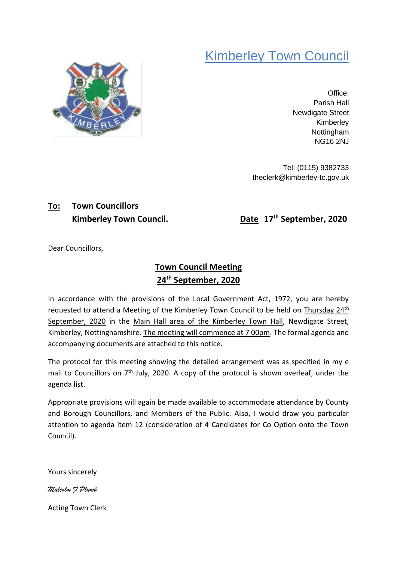## Kimberley Town Council



Office: Parish Hall Newdigate Street Kimberley **Nottingham** NG16 2NJ

Tel: (0115) 9382733 theclerk@kimberley-tc.gov.uk

# **To: Town Councillors**

**Kimberley Town Council. Date** 17<sup>th</sup> September, 2020

Dear Councillors,

## **Town Council Meeting 24th September, 2020**

In accordance with the provisions of the Local Government Act, 1972, you are hereby requested to attend a Meeting of the Kimberley Town Council to be held on Thursday 24<sup>th</sup> September, 2020 in the Main Hall area of the Kimberley Town Hall, Newdigate Street, Kimberley, Nottinghamshire. The meeting will commence at 7 00pm. The formal agenda and accompanying documents are attached to this notice.

The protocol for this meeting showing the detailed arrangement was as specified in my e mail to Councillors on 7<sup>th</sup> July, 2020. A copy of the protocol is shown overleaf, under the agenda list.

Appropriate provisions will again be made available to accommodate attendance by County and Borough Councillors, and Members of the Public. Also, I would draw you particular attention to agenda item 12 (consideration of 4 Candidates for Co Option onto the Town Council).

Yours sincerely

*Malcolm F Plumb*

Acting Town Clerk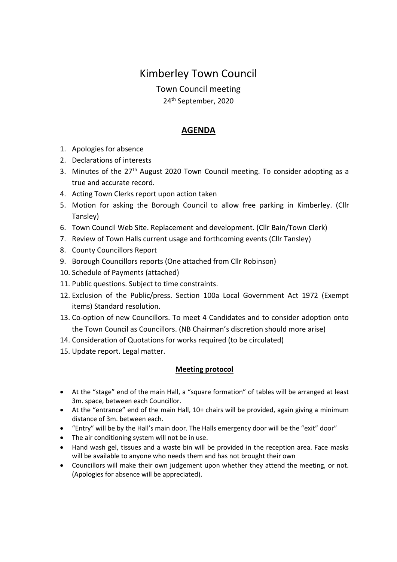## Kimberley Town Council

Town Council meeting

24th September, 2020

#### **AGENDA**

- 1. Apologies for absence
- 2. Declarations of interests
- 3. Minutes of the 27<sup>th</sup> August 2020 Town Council meeting. To consider adopting as a true and accurate record.
- 4. Acting Town Clerks report upon action taken
- 5. Motion for asking the Borough Council to allow free parking in Kimberley. (Cllr Tansley)
- 6. Town Council Web Site. Replacement and development. (Cllr Bain/Town Clerk)
- 7. Review of Town Halls current usage and forthcoming events (Cllr Tansley)
- 8. County Councillors Report
- 9. Borough Councillors reports (One attached from Cllr Robinson)
- 10. Schedule of Payments (attached)
- 11. Public questions. Subject to time constraints.
- 12. Exclusion of the Public/press. Section 100a Local Government Act 1972 (Exempt items) Standard resolution.
- 13. Co-option of new Councillors. To meet 4 Candidates and to consider adoption onto the Town Council as Councillors. (NB Chairman's discretion should more arise)
- 14. Consideration of Quotations for works required (to be circulated)
- 15. Update report. Legal matter.

#### **Meeting protocol**

- At the "stage" end of the main Hall, a "square formation" of tables will be arranged at least 3m. space, between each Councillor.
- At the "entrance" end of the main Hall, 10+ chairs will be provided, again giving a minimum distance of 3m. between each.
- "Entry" will be by the Hall's main door. The Halls emergency door will be the "exit" door"
- The air conditioning system will not be in use.
- Hand wash gel, tissues and a waste bin will be provided in the reception area. Face masks will be available to anyone who needs them and has not brought their own
- Councillors will make their own judgement upon whether they attend the meeting, or not. (Apologies for absence will be appreciated).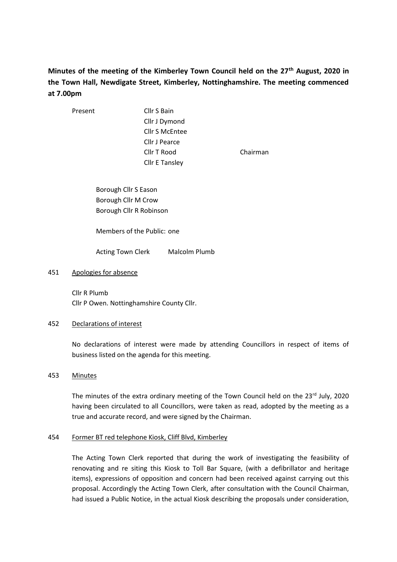## **Minutes of the meeting of the Kimberley Town Council held on the 27th August, 2020 in the Town Hall, Newdigate Street, Kimberley, Nottinghamshire. The meeting commenced at 7.00pm**

Present Cllr S Bain Cllr J Dymond Cllr S McEntee Cllr J Pearce Cllr T Rood Chairman Cllr E Tansley

Borough Cllr S Eason Borough Cllr M Crow Borough Cllr R Robinson

Members of the Public: one

Acting Town Clerk Malcolm Plumb

#### 451 Apologies for absence

Cllr R Plumb Cllr P Owen. Nottinghamshire County Cllr.

#### 452 Declarations of interest

No declarations of interest were made by attending Councillors in respect of items of business listed on the agenda for this meeting.

#### 453 Minutes

The minutes of the extra ordinary meeting of the Town Council held on the  $23^{rd}$  July, 2020 having been circulated to all Councillors, were taken as read, adopted by the meeting as a true and accurate record, and were signed by the Chairman.

#### 454 Former BT red telephone Kiosk, Cliff Blvd, Kimberley

The Acting Town Clerk reported that during the work of investigating the feasibility of renovating and re siting this Kiosk to Toll Bar Square, (with a defibrillator and heritage items), expressions of opposition and concern had been received against carrying out this proposal. Accordingly the Acting Town Clerk, after consultation with the Council Chairman, had issued a Public Notice, in the actual Kiosk describing the proposals under consideration,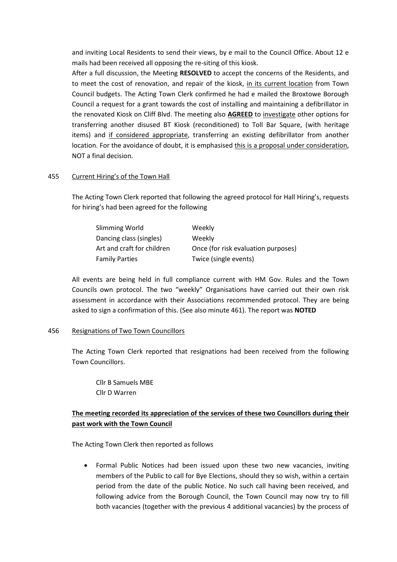and inviting Local Residents to send their views, by e mail to the Council Office. About 12 e mails had been received all opposing the re-siting of this kiosk.

After a full discussion, the Meeting **RESOLVED** to accept the concerns of the Residents, and to meet the cost of renovation, and repair of the kiosk, in its current location from Town Council budgets. The Acting Town Clerk confirmed he had e mailed the Broxtowe Borough Council a request for a grant towards the cost of installing and maintaining a defibrillator in the renovated Kiosk on Cliff Blvd. The meeting also **AGREED** to investigate other options for transferring another disused BT Kiosk (reconditioned) to Toll Bar Square, (with heritage items) and if considered appropriate, transferring an existing defibrillator from another location. For the avoidance of doubt, it is emphasised this is a proposal under consideration, NOT a final decision.

#### 455 Current Hiring's of the Town Hall

The Acting Town Clerk reported that following the agreed protocol for Hall Hiring's, requests for hiring's had been agreed for the following

| Slimming World             | Weekly                              |
|----------------------------|-------------------------------------|
| Dancing class (singles)    | Weekly                              |
| Art and craft for children | Once (for risk evaluation purposes) |
| <b>Family Parties</b>      | Twice (single events)               |

All events are being held in full compliance current with HM Gov. Rules and the Town Councils own protocol. The two "weekly" Organisations have carried out their own risk assessment in accordance with their Associations recommended protocol. They are being asked to sign a confirmation of this. (See also minute 461). The report was **NOTED**

#### 456 Resignations of Two Town Councillors

The Acting Town Clerk reported that resignations had been received from the following Town Councillors.

Cllr B Samuels MBE Cllr D Warren

#### **The meeting recorded its appreciation of the services of these two Councillors during their past work with the Town Council**

The Acting Town Clerk then reported as follows

• Formal Public Notices had been issued upon these two new vacancies, inviting members of the Public to call for Bye Elections, should they so wish, within a certain period from the date of the public Notice. No such call having been received, and following advice from the Borough Council, the Town Council may now try to fill both vacancies (together with the previous 4 additional vacancies) by the process of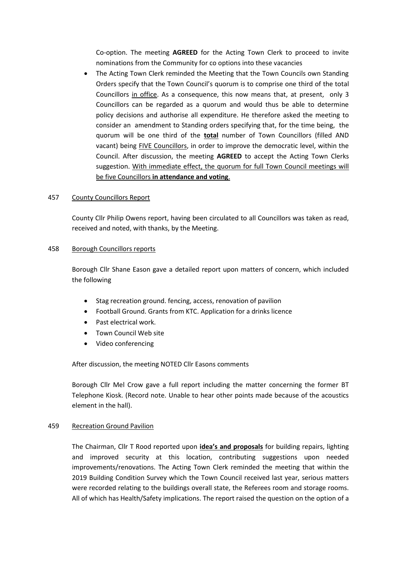Co-option. The meeting **AGREED** for the Acting Town Clerk to proceed to invite nominations from the Community for co options into these vacancies

The Acting Town Clerk reminded the Meeting that the Town Councils own Standing Orders specify that the Town Council's quorum is to comprise one third of the total Councillors in office. As a consequence, this now means that, at present, only 3 Councillors can be regarded as a quorum and would thus be able to determine policy decisions and authorise all expenditure. He therefore asked the meeting to consider an amendment to Standing orders specifying that, for the time being, the quorum will be one third of the **total** number of Town Councillors (filled AND vacant) being FIVE Councillors, in order to improve the democratic level, within the Council. After discussion, the meeting **AGREED** to accept the Acting Town Clerks suggestion. With immediate effect, the quorum for full Town Council meetings will be five Councillors **in attendance and voting**.

#### 457 County Councillors Report

County Cllr Philip Owens report, having been circulated to all Councillors was taken as read, received and noted, with thanks, by the Meeting.

#### 458 Borough Councillors reports

Borough Cllr Shane Eason gave a detailed report upon matters of concern, which included the following

- Stag recreation ground. fencing, access, renovation of pavilion
- Football Ground. Grants from KTC. Application for a drinks licence
- Past electrical work.
- Town Council Web site
- Video conferencing

After discussion, the meeting NOTED Cllr Easons comments

Borough Cllr Mel Crow gave a full report including the matter concerning the former BT Telephone Kiosk. (Record note. Unable to hear other points made because of the acoustics element in the hall).

#### 459 Recreation Ground Pavilion

The Chairman, Cllr T Rood reported upon **idea's and proposals** for building repairs, lighting and improved security at this location, contributing suggestions upon needed improvements/renovations. The Acting Town Clerk reminded the meeting that within the 2019 Building Condition Survey which the Town Council received last year, serious matters were recorded relating to the buildings overall state, the Referees room and storage rooms. All of which has Health/Safety implications. The report raised the question on the option of a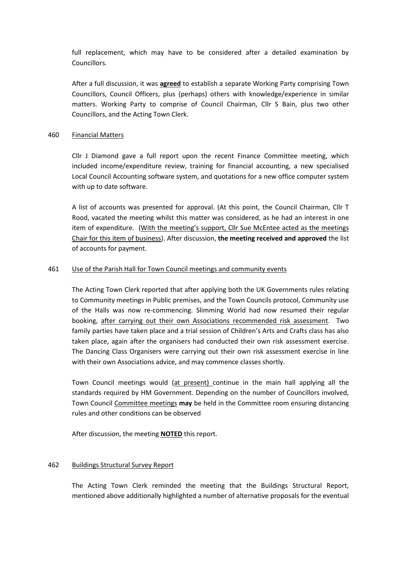full replacement, which may have to be considered after a detailed examination by Councillors.

After a full discussion, it was **agreed** to establish a separate Working Party comprising Town Councillors, Council Officers, plus (perhaps) others with knowledge/experience in similar matters. Working Party to comprise of Council Chairman, Cllr S Bain, plus two other Councillors, and the Acting Town Clerk.

#### 460 Financial Matters

Cllr J Diamond gave a full report upon the recent Finance Committee meeting, which included income/expenditure review, training for financial accounting, a new specialised Local Council Accounting software system, and quotations for a new office computer system with up to date software.

A list of accounts was presented for approval. (At this point, the Council Chairman, Cllr T Rood, vacated the meeting whilst this matter was considered, as he had an interest in one item of expenditure. (With the meeting's support, Cllr Sue McEntee acted as the meetings Chair for this item of business). After discussion, **the meeting received and approved** the list of accounts for payment.

#### 461 Use of the Parish Hall for Town Council meetings and community events

The Acting Town Clerk reported that after applying both the UK Governments rules relating to Community meetings in Public premises, and the Town Councils protocol, Community use of the Halls was now re-commencing. Slimming World had now resumed their regular booking, after carrying out their own Associations recommended risk assessment. Two family parties have taken place and a trial session of Children's Arts and Crafts class has also taken place, again after the organisers had conducted their own risk assessment exercise. The Dancing Class Organisers were carrying out their own risk assessment exercise in line with their own Associations advice, and may commence classes shortly.

Town Council meetings would (at present) continue in the main hall applying all the standards required by HM Government. Depending on the number of Councillors involved, Town Council Committee meetings **may** be held in the Committee room ensuring distancing rules and other conditions can be observed

After discussion, the meeting **NOTED** this report.

#### 462 Buildings Structural Survey Report

The Acting Town Clerk reminded the meeting that the Buildings Structural Report, mentioned above additionally highlighted a number of alternative proposals for the eventual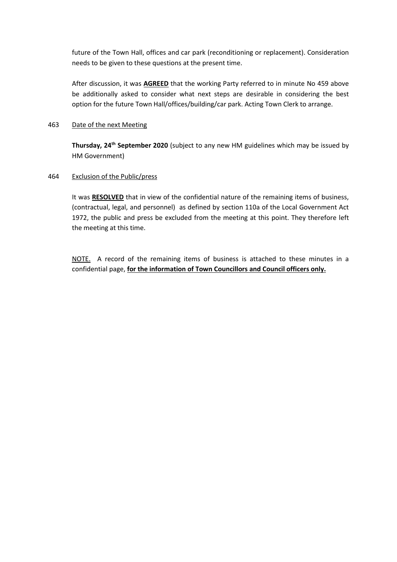future of the Town Hall, offices and car park (reconditioning or replacement). Consideration needs to be given to these questions at the present time.

After discussion, it was **AGREED** that the working Party referred to in minute No 459 above be additionally asked to consider what next steps are desirable in considering the best option for the future Town Hall/offices/building/car park. Acting Town Clerk to arrange.

#### 463 Date of the next Meeting

**Thursday, 24th September 2020** (subject to any new HM guidelines which may be issued by HM Government)

#### 464 Exclusion of the Public/press

It was **RESOLVED** that in view of the confidential nature of the remaining items of business, (contractual, legal, and personnel) as defined by section 110a of the Local Government Act 1972, the public and press be excluded from the meeting at this point. They therefore left the meeting at this time.

NOTE. A record of the remaining items of business is attached to these minutes in a confidential page, **for the information of Town Councillors and Council officers only.**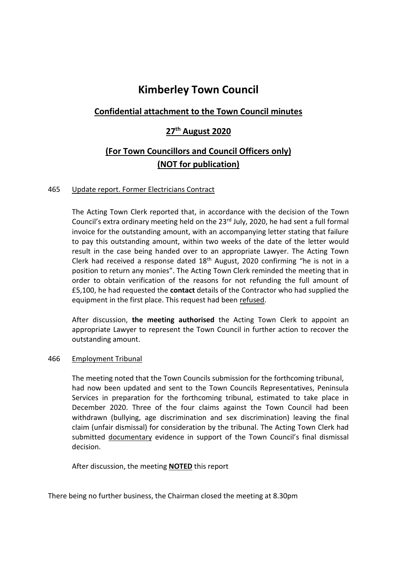## **Kimberley Town Council**

## **Confidential attachment to the Town Council minutes**

### **27th August 2020**

## **(For Town Councillors and Council Officers only) (NOT for publication)**

#### 465 Update report. Former Electricians Contract

The Acting Town Clerk reported that, in accordance with the decision of the Town Council's extra ordinary meeting held on the 23<sup>rd</sup> July, 2020, he had sent a full formal invoice for the outstanding amount, with an accompanying letter stating that failure to pay this outstanding amount, within two weeks of the date of the letter would result in the case being handed over to an appropriate Lawyer. The Acting Town Clerk had received a response dated 18th August, 2020 confirming "he is not in a position to return any monies". The Acting Town Clerk reminded the meeting that in order to obtain verification of the reasons for not refunding the full amount of £5,100, he had requested the **contact** details of the Contractor who had supplied the equipment in the first place. This request had been refused.

After discussion, **the meeting authorised** the Acting Town Clerk to appoint an appropriate Lawyer to represent the Town Council in further action to recover the outstanding amount.

#### 466 Employment Tribunal

The meeting noted that the Town Councils submission for the forthcoming tribunal, had now been updated and sent to the Town Councils Representatives, Peninsula Services in preparation for the forthcoming tribunal, estimated to take place in December 2020. Three of the four claims against the Town Council had been withdrawn (bullying, age discrimination and sex discrimination) leaving the final claim (unfair dismissal) for consideration by the tribunal. The Acting Town Clerk had submitted documentary evidence in support of the Town Council's final dismissal decision.

After discussion, the meeting **NOTED** this report

There being no further business, the Chairman closed the meeting at 8.30pm